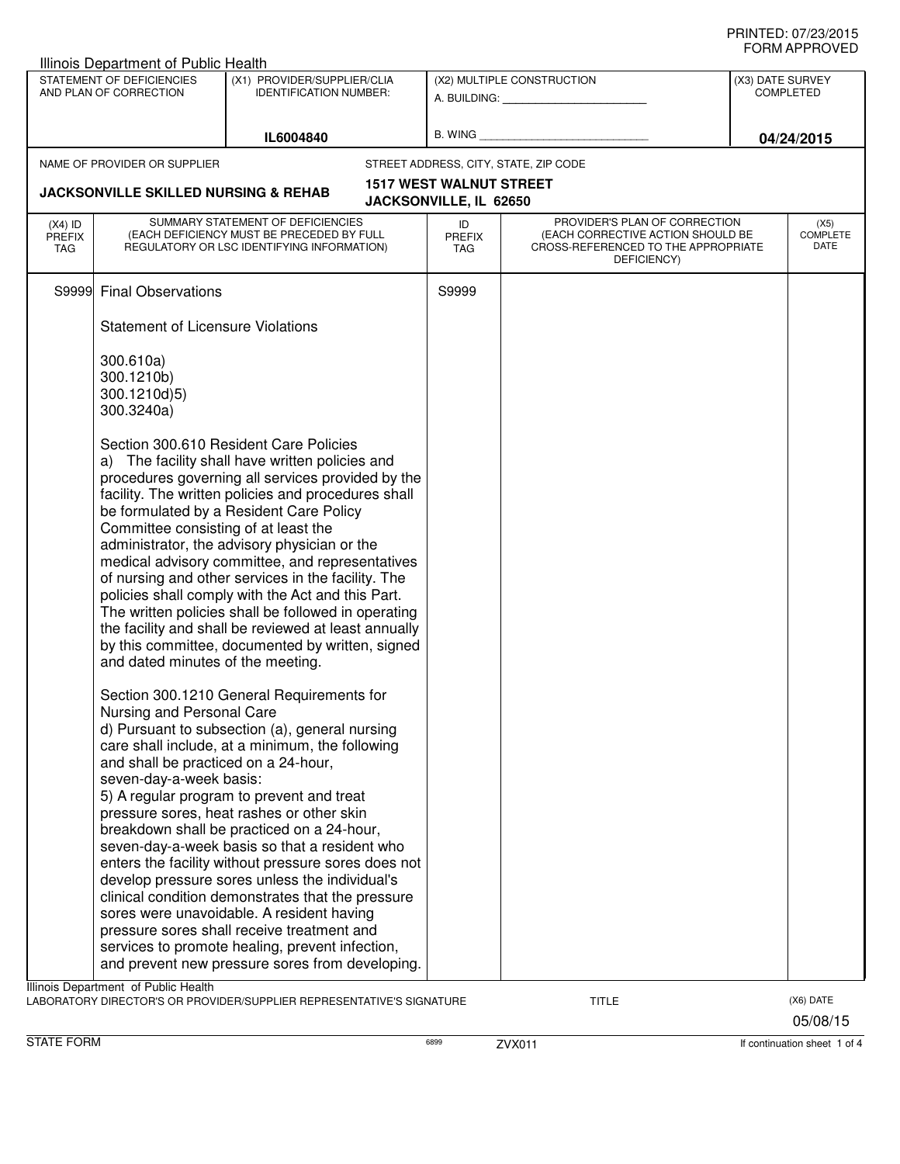|                                                     | Illinois Department of Public Health                                                         |                                                                                                                                                                                                                                                                                                                                                                                                                                                                                                                                                                                                                                                     |                                                          |                                                                                         |            |                                      |  |
|-----------------------------------------------------|----------------------------------------------------------------------------------------------|-----------------------------------------------------------------------------------------------------------------------------------------------------------------------------------------------------------------------------------------------------------------------------------------------------------------------------------------------------------------------------------------------------------------------------------------------------------------------------------------------------------------------------------------------------------------------------------------------------------------------------------------------------|----------------------------------------------------------|-----------------------------------------------------------------------------------------|------------|--------------------------------------|--|
| STATEMENT OF DEFICIENCIES<br>AND PLAN OF CORRECTION |                                                                                              | (X1) PROVIDER/SUPPLIER/CLIA<br><b>IDENTIFICATION NUMBER:</b>                                                                                                                                                                                                                                                                                                                                                                                                                                                                                                                                                                                        |                                                          | (X2) MULTIPLE CONSTRUCTION                                                              |            | (X3) DATE SURVEY<br><b>COMPLETED</b> |  |
|                                                     |                                                                                              | IL6004840                                                                                                                                                                                                                                                                                                                                                                                                                                                                                                                                                                                                                                           |                                                          |                                                                                         | 04/24/2015 |                                      |  |
|                                                     | NAME OF PROVIDER OR SUPPLIER                                                                 |                                                                                                                                                                                                                                                                                                                                                                                                                                                                                                                                                                                                                                                     |                                                          | STREET ADDRESS, CITY, STATE, ZIP CODE                                                   |            |                                      |  |
|                                                     | <b>JACKSONVILLE SKILLED NURSING &amp; REHAB</b>                                              |                                                                                                                                                                                                                                                                                                                                                                                                                                                                                                                                                                                                                                                     | <b>1517 WEST WALNUT STREET</b><br>JACKSONVILLE, IL 62650 |                                                                                         |            |                                      |  |
| $(X4)$ ID                                           |                                                                                              | SUMMARY STATEMENT OF DEFICIENCIES                                                                                                                                                                                                                                                                                                                                                                                                                                                                                                                                                                                                                   | ID                                                       | PROVIDER'S PLAN OF CORRECTION                                                           |            | (X5)                                 |  |
| <b>PREFIX</b><br><b>TAG</b>                         |                                                                                              | (EACH DEFICIENCY MUST BE PRECEDED BY FULL<br>REGULATORY OR LSC IDENTIFYING INFORMATION)                                                                                                                                                                                                                                                                                                                                                                                                                                                                                                                                                             | <b>PREFIX</b><br>TAG                                     | (EACH CORRECTIVE ACTION SHOULD BE<br>CROSS-REFERENCED TO THE APPROPRIATE<br>DEFICIENCY) |            | COMPLETE<br>DATE                     |  |
|                                                     | S9999 Final Observations                                                                     |                                                                                                                                                                                                                                                                                                                                                                                                                                                                                                                                                                                                                                                     | S9999                                                    |                                                                                         |            |                                      |  |
|                                                     | <b>Statement of Licensure Violations</b>                                                     |                                                                                                                                                                                                                                                                                                                                                                                                                                                                                                                                                                                                                                                     |                                                          |                                                                                         |            |                                      |  |
|                                                     | 300.610a)<br>300.1210b)<br>300.1210d)5)<br>300.3240a)                                        | Section 300.610 Resident Care Policies                                                                                                                                                                                                                                                                                                                                                                                                                                                                                                                                                                                                              |                                                          |                                                                                         |            |                                      |  |
|                                                     | Committee consisting of at least the<br>and dated minutes of the meeting.                    | a) The facility shall have written policies and<br>procedures governing all services provided by the<br>facility. The written policies and procedures shall<br>be formulated by a Resident Care Policy<br>administrator, the advisory physician or the<br>medical advisory committee, and representatives<br>of nursing and other services in the facility. The<br>policies shall comply with the Act and this Part.<br>The written policies shall be followed in operating<br>the facility and shall be reviewed at least annually<br>by this committee, documented by written, signed                                                             |                                                          |                                                                                         |            |                                      |  |
|                                                     | Nursing and Personal Care<br>and shall be practiced on a 24-hour,<br>seven-day-a-week basis: | Section 300.1210 General Requirements for<br>d) Pursuant to subsection (a), general nursing<br>care shall include, at a minimum, the following<br>5) A regular program to prevent and treat<br>pressure sores, heat rashes or other skin<br>breakdown shall be practiced on a 24-hour,<br>seven-day-a-week basis so that a resident who<br>enters the facility without pressure sores does not<br>develop pressure sores unless the individual's<br>clinical condition demonstrates that the pressure<br>sores were unavoidable. A resident having<br>pressure sores shall receive treatment and<br>services to promote healing, prevent infection, |                                                          |                                                                                         |            |                                      |  |
|                                                     |                                                                                              | and prevent new pressure sores from developing.                                                                                                                                                                                                                                                                                                                                                                                                                                                                                                                                                                                                     |                                                          |                                                                                         |            |                                      |  |
|                                                     | Illinois Department of Public Health                                                         | LABORATORY DIRECTOR'S OR PROVIDER/SUPPLIER REPRESENTATIVE'S SIGNATURE                                                                                                                                                                                                                                                                                                                                                                                                                                                                                                                                                                               |                                                          | <b>TITLE</b>                                                                            |            | (X6) DATE<br>05/08/15                |  |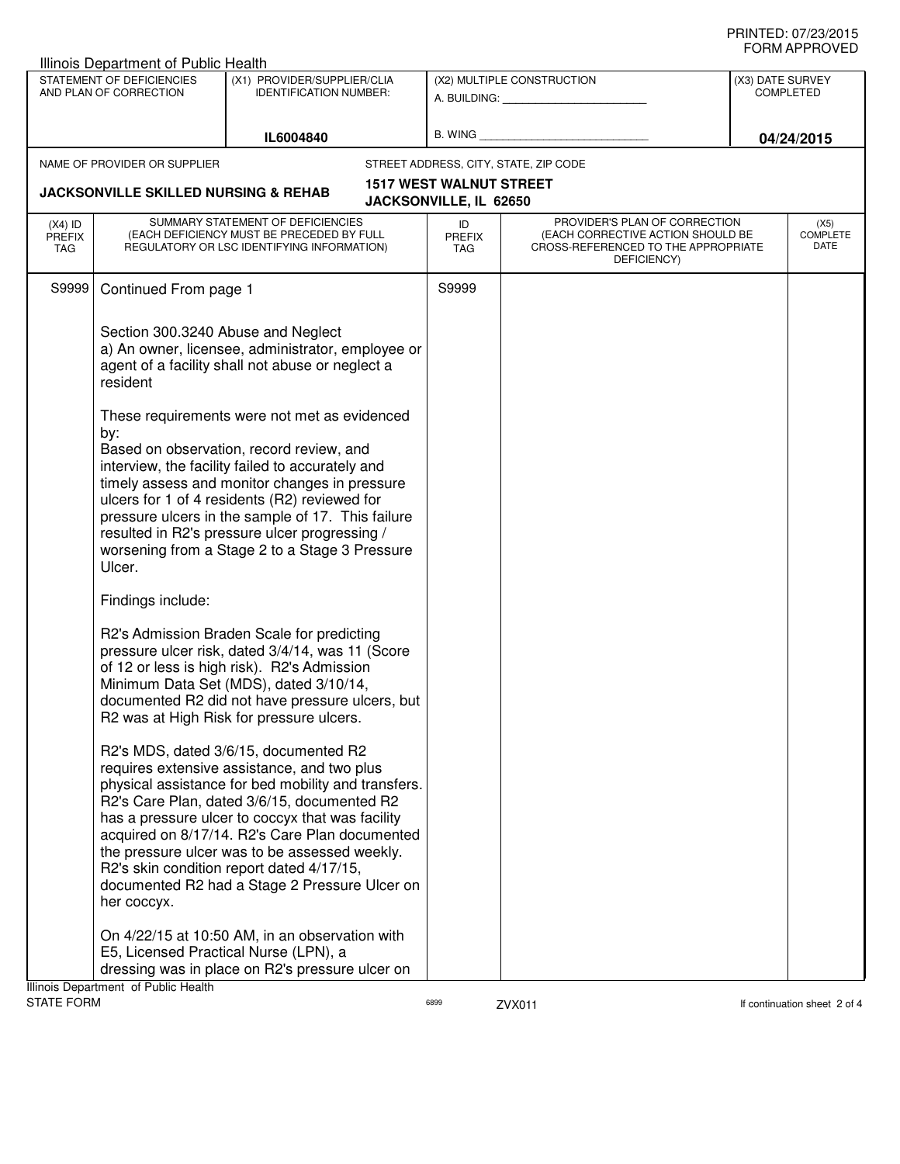|                                   | Illinois Department of Public Health                |                                                                                                                                                                                                                                                                                                                                                                                                                                                 |                                                          |                                                                                                                          |                  |                                 |
|-----------------------------------|-----------------------------------------------------|-------------------------------------------------------------------------------------------------------------------------------------------------------------------------------------------------------------------------------------------------------------------------------------------------------------------------------------------------------------------------------------------------------------------------------------------------|----------------------------------------------------------|--------------------------------------------------------------------------------------------------------------------------|------------------|---------------------------------|
|                                   | STATEMENT OF DEFICIENCIES<br>AND PLAN OF CORRECTION | (X1) PROVIDER/SUPPLIER/CLIA<br><b>IDENTIFICATION NUMBER:</b>                                                                                                                                                                                                                                                                                                                                                                                    |                                                          | (X2) MULTIPLE CONSTRUCTION                                                                                               | (X3) DATE SURVEY | <b>COMPLETED</b>                |
|                                   |                                                     | IL6004840                                                                                                                                                                                                                                                                                                                                                                                                                                       | B. WING                                                  |                                                                                                                          |                  | 04/24/2015                      |
|                                   | NAME OF PROVIDER OR SUPPLIER                        |                                                                                                                                                                                                                                                                                                                                                                                                                                                 |                                                          | STREET ADDRESS, CITY, STATE, ZIP CODE                                                                                    |                  |                                 |
|                                   | <b>JACKSONVILLE SKILLED NURSING &amp; REHAB</b>     |                                                                                                                                                                                                                                                                                                                                                                                                                                                 | <b>1517 WEST WALNUT STREET</b><br>JACKSONVILLE, IL 62650 |                                                                                                                          |                  |                                 |
| $(X4)$ ID<br><b>PREFIX</b><br>TAG |                                                     | SUMMARY STATEMENT OF DEFICIENCIES<br>(EACH DEFICIENCY MUST BE PRECEDED BY FULL<br>REGULATORY OR LSC IDENTIFYING INFORMATION)                                                                                                                                                                                                                                                                                                                    | ID<br><b>PREFIX</b><br>TAG                               | PROVIDER'S PLAN OF CORRECTION<br>(EACH CORRECTIVE ACTION SHOULD BE<br>CROSS-REFERENCED TO THE APPROPRIATE<br>DEFICIENCY) |                  | (X5)<br><b>COMPLETE</b><br>DATE |
| S9999                             | Continued From page 1                               |                                                                                                                                                                                                                                                                                                                                                                                                                                                 | S9999                                                    |                                                                                                                          |                  |                                 |
|                                   | Section 300.3240 Abuse and Neglect<br>resident      | a) An owner, licensee, administrator, employee or<br>agent of a facility shall not abuse or neglect a                                                                                                                                                                                                                                                                                                                                           |                                                          |                                                                                                                          |                  |                                 |
|                                   | by:<br>Ulcer.                                       | These requirements were not met as evidenced<br>Based on observation, record review, and<br>interview, the facility failed to accurately and<br>timely assess and monitor changes in pressure<br>ulcers for 1 of 4 residents (R2) reviewed for<br>pressure ulcers in the sample of 17. This failure<br>resulted in R2's pressure ulcer progressing /<br>worsening from a Stage 2 to a Stage 3 Pressure                                          |                                                          |                                                                                                                          |                  |                                 |
|                                   | Findings include:                                   |                                                                                                                                                                                                                                                                                                                                                                                                                                                 |                                                          |                                                                                                                          |                  |                                 |
|                                   |                                                     | R2's Admission Braden Scale for predicting<br>pressure ulcer risk, dated 3/4/14, was 11 (Score<br>of 12 or less is high risk). R2's Admission<br>Minimum Data Set (MDS), dated 3/10/14,<br>documented R2 did not have pressure ulcers, but<br>R2 was at High Risk for pressure ulcers.                                                                                                                                                          |                                                          |                                                                                                                          |                  |                                 |
|                                   | her coccyx.                                         | R2's MDS, dated 3/6/15, documented R2<br>requires extensive assistance, and two plus<br>physical assistance for bed mobility and transfers.<br>R2's Care Plan, dated 3/6/15, documented R2<br>has a pressure ulcer to coccyx that was facility<br>acquired on 8/17/14. R2's Care Plan documented<br>the pressure ulcer was to be assessed weekly.<br>R2's skin condition report dated 4/17/15,<br>documented R2 had a Stage 2 Pressure Ulcer on |                                                          |                                                                                                                          |                  |                                 |
|                                   |                                                     | On 4/22/15 at 10:50 AM, in an observation with<br>E5, Licensed Practical Nurse (LPN), a<br>dressing was in place on R2's pressure ulcer on                                                                                                                                                                                                                                                                                                      |                                                          |                                                                                                                          |                  |                                 |
| <b>STATE FORM</b>                 | Illinois Department of Public Health                |                                                                                                                                                                                                                                                                                                                                                                                                                                                 | 6899                                                     | ZVX011                                                                                                                   |                  | If continuation sheet 2 of 4    |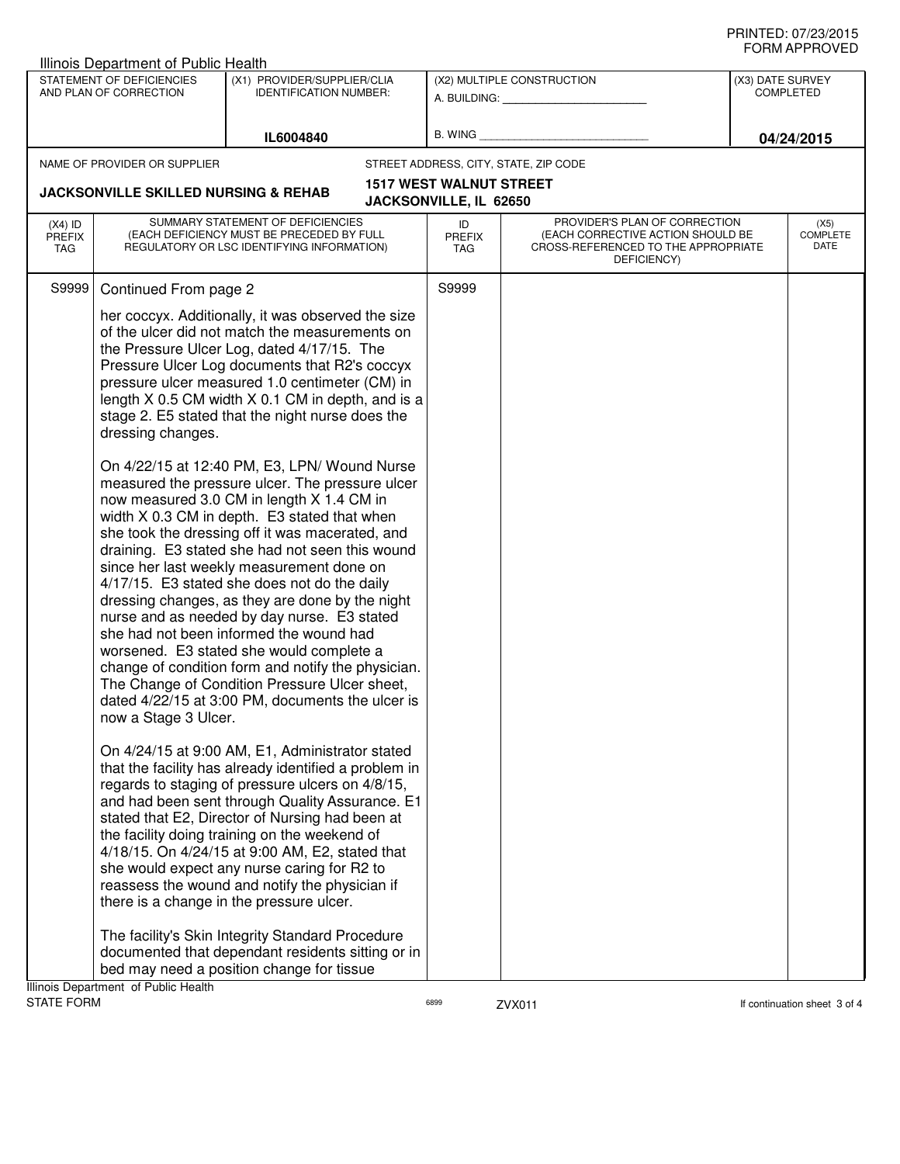|                                          | <b>Illinois Department of Public Health</b>         |                                                                                                                                                                                                                                                                                                                                                                                                                                                                                                                                                                                                                                                                                                                                                                                                                                                                                                                                                                                                                                                                                                                       |                                |                                                                                                                          |                  |                                 |
|------------------------------------------|-----------------------------------------------------|-----------------------------------------------------------------------------------------------------------------------------------------------------------------------------------------------------------------------------------------------------------------------------------------------------------------------------------------------------------------------------------------------------------------------------------------------------------------------------------------------------------------------------------------------------------------------------------------------------------------------------------------------------------------------------------------------------------------------------------------------------------------------------------------------------------------------------------------------------------------------------------------------------------------------------------------------------------------------------------------------------------------------------------------------------------------------------------------------------------------------|--------------------------------|--------------------------------------------------------------------------------------------------------------------------|------------------|---------------------------------|
|                                          | STATEMENT OF DEFICIENCIES<br>AND PLAN OF CORRECTION | (X1) PROVIDER/SUPPLIER/CLIA<br><b>IDENTIFICATION NUMBER:</b>                                                                                                                                                                                                                                                                                                                                                                                                                                                                                                                                                                                                                                                                                                                                                                                                                                                                                                                                                                                                                                                          |                                | (X2) MULTIPLE CONSTRUCTION<br>A. BUILDING: A. BUILDING:                                                                  | (X3) DATE SURVEY | <b>COMPLETED</b>                |
|                                          |                                                     | IL6004840                                                                                                                                                                                                                                                                                                                                                                                                                                                                                                                                                                                                                                                                                                                                                                                                                                                                                                                                                                                                                                                                                                             | B. WING                        |                                                                                                                          |                  | 04/24/2015                      |
|                                          | NAME OF PROVIDER OR SUPPLIER                        |                                                                                                                                                                                                                                                                                                                                                                                                                                                                                                                                                                                                                                                                                                                                                                                                                                                                                                                                                                                                                                                                                                                       |                                | STREET ADDRESS, CITY, STATE, ZIP CODE                                                                                    |                  |                                 |
|                                          |                                                     |                                                                                                                                                                                                                                                                                                                                                                                                                                                                                                                                                                                                                                                                                                                                                                                                                                                                                                                                                                                                                                                                                                                       | <b>1517 WEST WALNUT STREET</b> |                                                                                                                          |                  |                                 |
|                                          | <b>JACKSONVILLE SKILLED NURSING &amp; REHAB</b>     |                                                                                                                                                                                                                                                                                                                                                                                                                                                                                                                                                                                                                                                                                                                                                                                                                                                                                                                                                                                                                                                                                                                       | JACKSONVILLE, IL 62650         |                                                                                                                          |                  |                                 |
| $(X4)$ ID<br><b>PREFIX</b><br><b>TAG</b> |                                                     | SUMMARY STATEMENT OF DEFICIENCIES<br>(EACH DEFICIENCY MUST BE PRECEDED BY FULL<br>REGULATORY OR LSC IDENTIFYING INFORMATION)                                                                                                                                                                                                                                                                                                                                                                                                                                                                                                                                                                                                                                                                                                                                                                                                                                                                                                                                                                                          | ID<br><b>PREFIX</b><br>TAG     | PROVIDER'S PLAN OF CORRECTION<br>(EACH CORRECTIVE ACTION SHOULD BE<br>CROSS-REFERENCED TO THE APPROPRIATE<br>DEFICIENCY) |                  | (X5)<br><b>COMPLETE</b><br>DATE |
| S9999                                    | Continued From page 2                               |                                                                                                                                                                                                                                                                                                                                                                                                                                                                                                                                                                                                                                                                                                                                                                                                                                                                                                                                                                                                                                                                                                                       | S9999                          |                                                                                                                          |                  |                                 |
|                                          | dressing changes.<br>now a Stage 3 Ulcer.           | her coccyx. Additionally, it was observed the size<br>of the ulcer did not match the measurements on<br>the Pressure Ulcer Log, dated 4/17/15. The<br>Pressure Ulcer Log documents that R2's coccyx<br>pressure ulcer measured 1.0 centimeter (CM) in<br>length X 0.5 CM width X 0.1 CM in depth, and is a<br>stage 2. E5 stated that the night nurse does the<br>On 4/22/15 at 12:40 PM, E3, LPN/ Wound Nurse<br>measured the pressure ulcer. The pressure ulcer<br>now measured 3.0 CM in length X 1.4 CM in<br>width X 0.3 CM in depth. E3 stated that when<br>she took the dressing off it was macerated, and<br>draining. E3 stated she had not seen this wound<br>since her last weekly measurement done on<br>4/17/15. E3 stated she does not do the daily<br>dressing changes, as they are done by the night<br>nurse and as needed by day nurse. E3 stated<br>she had not been informed the wound had<br>worsened. E3 stated she would complete a<br>change of condition form and notify the physician.<br>The Change of Condition Pressure Ulcer sheet,<br>dated 4/22/15 at 3:00 PM, documents the ulcer is |                                |                                                                                                                          |                  |                                 |
|                                          |                                                     | On 4/24/15 at 9:00 AM, E1, Administrator stated<br>that the facility has already identified a problem in<br>regards to staging of pressure ulcers on 4/8/15,<br>and had been sent through Quality Assurance. E1<br>stated that E2, Director of Nursing had been at<br>the facility doing training on the weekend of<br>4/18/15. On 4/24/15 at 9:00 AM, E2, stated that<br>she would expect any nurse caring for R2 to<br>reassess the wound and notify the physician if<br>there is a change in the pressure ulcer.                                                                                                                                                                                                                                                                                                                                                                                                                                                                                                                                                                                                   |                                |                                                                                                                          |                  |                                 |
|                                          | Illinois Department of Public Health                | The facility's Skin Integrity Standard Procedure<br>documented that dependant residents sitting or in<br>bed may need a position change for tissue                                                                                                                                                                                                                                                                                                                                                                                                                                                                                                                                                                                                                                                                                                                                                                                                                                                                                                                                                                    |                                |                                                                                                                          |                  |                                 |
| <b>STATE FORM</b>                        |                                                     |                                                                                                                                                                                                                                                                                                                                                                                                                                                                                                                                                                                                                                                                                                                                                                                                                                                                                                                                                                                                                                                                                                                       | 6899                           | ZVX011                                                                                                                   |                  | If continuation sheet 3 of 4    |